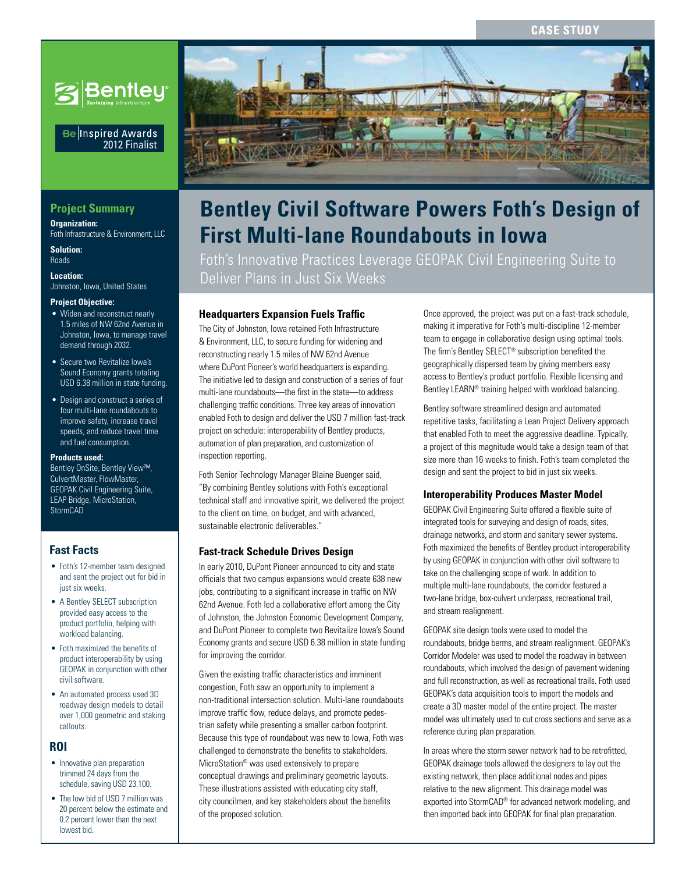

## Be Inspired Awards 2012 Finalist

# **Project Summary**

**Organization:**  Foth Infrastructure & Environment, LLC

**Solution:**  Roads

**Location:**  Johnston, Iowa, United States

#### **Project Objective:**

- Widen and reconstruct nearly 1.5 miles of NW 62nd Avenue in Johnston, Iowa, to manage travel demand through 2032.
- Secure two Revitalize Iowa's Sound Economy grants totaling USD 6.38 million in state funding.
- Design and construct a series of four multi-lane roundabouts to improve safety, increase travel speeds, and reduce travel time and fuel consumption.

#### **Products used:**

Bentley OnSite, Bentley View™, CulvertMaster, FlowMaster, GEOPAK Civil Engineering Suite, LEAP Bridge, MicroStation, StormCAD

# **Fast Facts**

- Foth's 12-member team designed and sent the project out for bid in just six weeks.
- A Bentley SELECT subscription provided easy access to the product portfolio, helping with workload balancing.
- • Foth maximized the benefits of product interoperability by using GEOPAK in conjunction with other civil software.
- An automated process used 3D roadway design models to detail over 1,000 geometric and staking callouts.

# **ROI**

- Innovative plan preparation trimmed 24 days from the schedule, saving USD 23,100.
- The low bid of USD 7 million was 20 percent below the estimate and 0.2 percent lower than the next lowest bid.



# **First Multi-lane Roundabouts in Iowa Bentley Civil Software Powers Foth's Design of**

Foth's Innovative Practices Leverage GEOPAK Civil Engineering Suite to Deliver Plans in Just Six Weeks

# **Headquarters Expansion Fuels Traffic**

The City of Johnston, Iowa retained Foth Infrastructure & Environment, LLC, to secure funding for widening and reconstructing nearly 1.5 miles of NW 62nd Avenue where DuPont Pioneer's world headquarters is expanding. The initiative led to design and construction of a series of four multi-lane roundabouts—the first in the state—to address challenging traffic conditions. Three key areas of innovation enabled Foth to design and deliver the USD 7 million fast-track project on schedule: interoperability of Bentley products, automation of plan preparation, and customization of inspection reporting.

Foth Senior Technology Manager Blaine Buenger said, "By combining Bentley solutions with Foth's exceptional technical staff and innovative spirit, we delivered the project to the client on time, on budget, and with advanced, sustainable electronic deliverables."

#### **Fast-track Schedule Drives Design**

In early 2010, DuPont Pioneer announced to city and state officials that two campus expansions would create 638 new jobs, contributing to a significant increase in traffic on NW 62nd Avenue. Foth led a collaborative effort among the City of Johnston, the Johnston Economic Development Company, and DuPont Pioneer to complete two Revitalize Iowa's Sound Economy grants and secure USD 6.38 million in state funding for improving the corridor.

Given the existing traffic characteristics and imminent congestion, Foth saw an opportunity to implement a non-traditional intersection solution. Multi-lane roundabouts improve traffic flow, reduce delays, and promote pedestrian safety while presenting a smaller carbon footprint. Because this type of roundabout was new to Iowa, Foth was challenged to demonstrate the benefits to stakeholders. MicroStation® was used extensively to prepare conceptual drawings and preliminary geometric layouts. These illustrations assisted with educating city staff, city councilmen, and key stakeholders about the benefits of the proposed solution.

Once approved, the project was put on a fast-track schedule, making it imperative for Foth's multi-discipline 12-member team to engage in collaborative design using optimal tools. The firm's Bentley SELECT® subscription benefited the geographically dispersed team by giving members easy access to Bentley's product portfolio. Flexible licensing and Bentley LEARN® training helped with workload balancing.

Bentley software streamlined design and automated repetitive tasks, facilitating a Lean Project Delivery approach that enabled Foth to meet the aggressive deadline. Typically, a project of this magnitude would take a design team of that size more than 16 weeks to finish. Foth's team completed the design and sent the project to bid in just six weeks.

#### **Interoperability Produces Master Model**

GEOPAK Civil Engineering Suite offered a flexible suite of integrated tools for surveying and design of roads, sites, drainage networks, and storm and sanitary sewer systems. Foth maximized the benefits of Bentley product interoperability by using GEOPAK in conjunction with other civil software to take on the challenging scope of work. In addition to multiple multi-lane roundabouts, the corridor featured a two-lane bridge, box-culvert underpass, recreational trail, and stream realignment.

GEOPAK site design tools were used to model the roundabouts, bridge berms, and stream realignment. GEOPAK's Corridor Modeler was used to model the roadway in between roundabouts, which involved the design of pavement widening and full reconstruction, as well as recreational trails. Foth used GEOPAK's data acquisition tools to import the models and create a 3D master model of the entire project. The master model was ultimately used to cut cross sections and serve as a reference during plan preparation.

In areas where the storm sewer network had to be retrofitted, GEOPAK drainage tools allowed the designers to lay out the existing network, then place additional nodes and pipes relative to the new alignment. This drainage model was exported into StormCAD® for advanced network modeling, and then imported back into GEOPAK for final plan preparation.